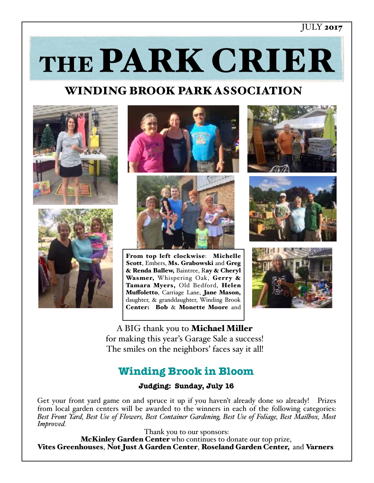#### JULY 2017

THE PARK CRIER

## WINDING BROOK PARK ASSOCIATION











From top left clockwise: Michelle Scott, Embers, Ms. Grabowski and Greg & Renda Ballew, Baintree, Ray & Cheryl Wasmer, Whispering Oak, Gerry & Tamara Myers, Old Bedford, Helen Muffoletto, Carriage Lane, Jane Mason, daughter, & granddaughter, Winding Brook Center: Bob & Monette Moore and



A BIG thank you to Michael Miller for making this year's Garage Sale a success! The smiles on the neighbors' faces say it all!

## **Winding Brook in Bloom**

#### **Judging: Sunday, July 16**

Get your front yard game on and spruce it up if you haven't already done so already! Prizes from local garden centers will be awarded to the winners in each of the following categories: *Best Front Yard, Best Use of Flowers, Best Container Gardening, Best Use of Foliage, Best Mailbox, Most Improved.*

Thank you to our sponsors:<br>**McKinley Garden Center** who continues to donate our top prize, Vites Greenhouses, Not Just A Garden Center, Roseland Garden Center, and Varners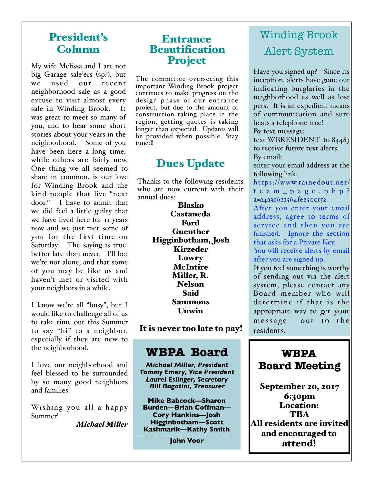### President's Column

My wife Melissa and I are not big Garage sale'ers (sp?), but we used our recent neighborhood sale as a good excuse to visit almost every sale in Winding Brook. It was great to meet so many of you, and to hear some short stories about your years in the neighborhood. Some of you have been here a long time, while others are fairly new. One thing we all seemed to share in common, is our love for Winding Brook and the kind people that live "next door." I have to admit that we did feel a little guilty that we have lived here for 11 years now and we just met some of you for the first time on Saturday. The saying is true: better late than never. I'll bet we're not alone, and that some of you may be like us and haven't met or visited with your neighbors in a while.

I know we're all "busy", but I would like to challenge all of us to take time out this Summer to say "hi" to a neighbor, especially if they are new to the neighborhood.

I love our neighborhood and feel blessed to be surrounded by so many good neighbors and families!

Wishing you all a happy Summer!

*Michael Miler*

### **Entrance Beautification** Project

The committee overseeing this important Winding Brook project continues to make progress on the design phase of our entrance project, but due to the amount of construction taking place in the region, getting quotes is taking longer than expected. Updates will be provided when possible. Stay tuned!

# Dues Update

Thanks to the following residents who are now current with their annual dues:

> Blasko Castaneda Ford Guenther Higginbotham, Josh Kirzeder Lowry McIntire Miller, R. Nelson Said Sammons Unwin

It is never too late to pay!

## **WBPA Board**

*Michael Miller, President Tammy Emery, Vice President Laurel Eslinger, Secretary Bill Bagatini, Treasurer*

**Mike Babcock—Sharon Burden—Brian Coffman— Cory Hankins—Josh Higginbotham—Scott Kashmarik—Kathy Smith**

**John Voor**

# Winding Brook Alert System

Have you signed up? Since its inception, alerts have gone out indicating burglaries in the neighborhood as well as lost pets. It is an expedient means of communication and sure beats a telephone tree! By text message:

text WBRESIDENT to 84483 to receive future text alerts. By email:

enter your email address at the following link:

[https://www.rainedout.net/](https://www.rainedout.net/team_page.php?a=a4a3c621564fe250c152) team\_page.php? [a=a4a3c621564fe250c152](https://www.rainedout.net/team_page.php?a=a4a3c621564fe250c152) After you enter your email address, agree to terms of service and then you are finished. Ignore the section that asks for a Private Key.

You will receive alerts by email after you are signed up.

If you feel something is worthy of sending out via the alert system, please contact any Board member who will determine if that is the appropriate way to get your message out to the residents.

**WBPA Board Meeting** 

September 20, 2017 6:30pm Location: **TRA** All residents are invited and encouraged to attend!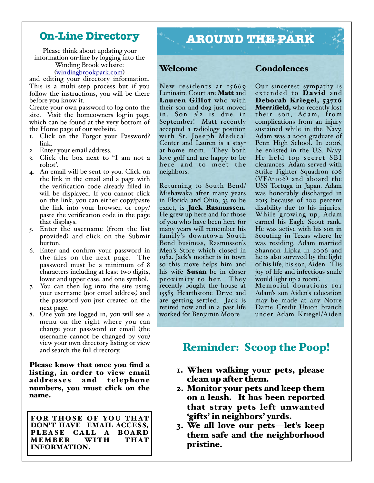### **On-Line Directory**

Please think about updating your information on-line by logging into the Winding Brook website:

([windingbrookpark.com](http://windingbrookpark.com))

and editing your directory information. This is a multi-step process but if you follow the instructions, you will be there before you know it.

Create your own password to log onto the site. Visit the homeowners log-in page which can be found at the very bottom of the Home page of our website.

- 1. Click on the Forgot your Password? link.
- 2. Enter your email address.
- 3. Click the box next to "I am not a robot'.
- 4. An email will be sent to you. Click on the link in the email and a page with the verification code already filled in will be displayed. If you cannot click on the link, you can either copy/paste the link into your browser, or copy/ paste the verification code in the page that displays.
- 5. Enter the username (from the list provided) and click on the Submit button.
- 6. Enter and confirm your password in the files on the next page. The password must be a minimum of 8 characters including at least two digits, lower and upper case, and one symbol.
- 7. You can then log into the site using your username (not email address) and the password you just created on the next page.
- 8. One you are logged in, you will see a menu on the right where you can change your password or email (the username cannot be changed by you) view your own directory listing or view and search the full directory.

Please know that once you find a listing, in order to view email addresses and telephone numbers, you must click on the name.

FOR THOSE OF YOU THAT DON'T HAVE EMAIL ACCESS, PLEASE CALL A BOARD MEMBER WITH THAT INFORMATION.

# **AROUND THE PARK**

#### Welcome

New residents at 15669 Luninaire Court are Matt and Lauren Gillot who with their son and dog just moved in. Son #2 is due in September! Matt recently accepted a radiology position with St. Joseph Medical Center and Lauren is a stayat-home mom. They both love golf and are happy to be here and to meet the neighbors.

Returning to South Bend/ Mishawaka after many years in Florida and Ohio, 33 to be exact, is Jack Rasmussen. He grew up here and for those of you who have been here for many years will remember his family's downtown South Bend business, Rasmussen's Men's Store which closed in 1982. Jack's mother is in town so this move helps him and his wife Susan be in closer proximity to her. They recently bought the house at 15585 Hearthstone Drive and are getting settled. Jack is retired now and in a past life worked for Benjamin Moore

#### Condolences

Our sincerest sympathy is extended to **David** and Deborah Kriegel, 53716 **Merrifield,** who recently lost their son, Adam, from complications from an injury sustained while in the Navy. Adam was a 2001 graduate of Penn High School. In 2006, he enlisted in the U.S. Navy. He held top secret SBI clearances. Adam served with Strike Fighter Squadron 106 (VFA-106) and aboard the USS Tortuga in Japan. Adam was honorably discharged in 2015 because of 100 percent disability due to his injuries. While growing up, Adam earned his Eagle Scout rank. He was active with his son in Scouting in Texas where he was residing. Adam married Shannon Lipka in 2006 and he is also survived by the light of his life, his son, Aiden. 'His joy of life and infectious smile would light up a room'.

Memorial donations for Adam's son Aiden's education may be made at any Notre Dame Credit Union branch under Adam Kriegel/Aiden

### Reminder: Scoop the Poop!

- 1. When walking your pets, please clean up after them.
- 2. Monitor your pets and keep them on a leash. It has been reported that stray pets left unwanted 'gifts' in neighbors' yards.
- 3. We all love our pets—let's keep them safe and the neighborhood pristine.